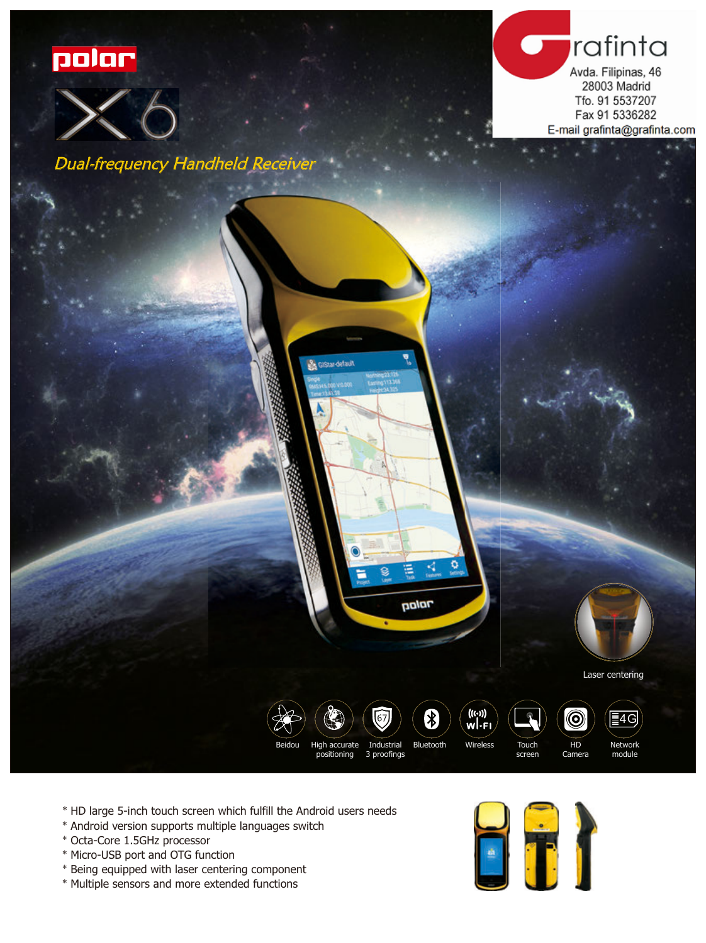





Dual-frequency Handheld Receiver



- \* HD large 5-inch touch screen which fulfill the Android users needs
- \* Android version supports multiple languages switch
- \* Octa-Core 1.5GHz processor
- \* Micro-USB port and OTG function
- \* Being equipped with laser centering component
- \* Multiple sensors and more extended functions